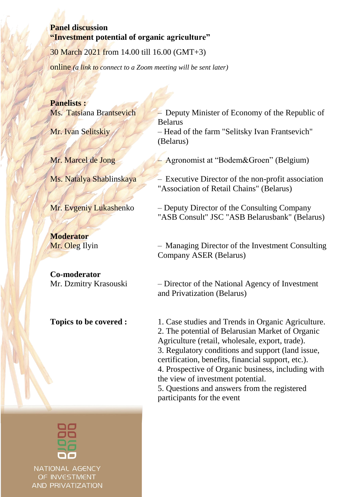#### **Panel discussion "Investment potential of organic agriculture"**

30 March 2021 from 14.00 till 16.00 (GMT+3)

online *(a link to connect to a Zoom meeting will be sent later)*

**Panelists :**

**Moderator**

**Co-moderator**



NATIONAL AGENCY OF INVESTMENT **AND PRIVATIZATION** 

Ms. Tatsiana Brantsevich – Deputy Minister of Economy of the Republic of Belarus

Mr. Ivan Selitskiy – Head of the farm "Selitsky Ivan Frantsevich" (Belarus)

Mr. Marcel de Jong – Agronomist at "Bodem&Groen" (Belgium)

Ms. Natalya Shablinskaya – Executive Director of the non-profit association "Association of Retail Chains" (Belarus)

Mr. Evgeniy Lukashenko – Deputy Director of the Consulting Company "ASB Consult" JSC "ASB Belarusbank" (Belarus)

Mr. Oleg Ilyin – Managing Director of the Investment Consulting Company ASER (Belarus)

Mr. Dzmitry Krasouski – Director of the National Agency of Investment and Privatization (Belarus)

**Topics to be covered :** 1. Case studies and Trends in Organic Agriculture. 2. The potential of Belarusian Market of Organic Agriculture (retail, wholesale, export, trade). 3. Regulatory conditions and support (land issue, certification, benefits, financial support, etc.). 4. Prospective of Organic business, including with the view of investment potential. 5. Questions and answers from the registered

participants for the event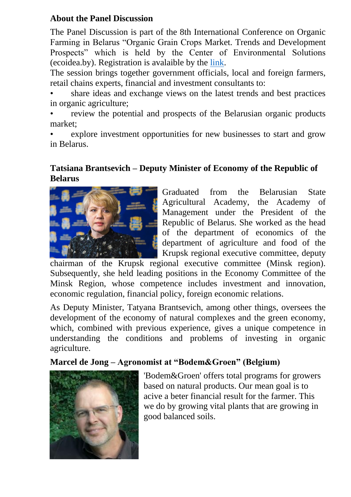# **About the Panel Discussion**

The Panel Discussion is part of the 8th International Conference on Organic Farming in Belarus "Organic Grain Crops Market. Trends and Development Prospects" which is held by the Center of Environmental Solutions (ecoidea.by). Registration is avalaible by the [link.](https://docs.google.com/forms/d/1-PnxH7RqstyW0jUdMsig6gZPd8vrtSv-vvjk19klM4s/edit#responses)

The session brings together government officials, local and foreign farmers, retail chains experts, financial and investment consultants to:

• share ideas and exchange views on the latest trends and best practices in organic agriculture;

review the potential and prospects of the Belarusian organic products market;

explore investment opportunities for new businesses to start and grow in Belarus.

# **Tatsiana Brantsevich – Deputy Minister of Economy of the Republic of Belarus**



Graduated from the Belarusian State Agricultural Academy, the Academy of Management under the President of the Republic of Belarus. She worked as the head of the department of economics of the department of agriculture and food of the Krupsk regional executive committee, deputy

chairman of the Krupsk regional executive committee (Minsk region). Subsequently, she held leading positions in the Economy Committee of the Minsk Region, whose competence includes investment and innovation, economic regulation, financial policy, foreign economic relations.

As Deputy Minister, Tatyana Brantsevich, among other things, oversees the development of the economy of natural complexes and the green economy, which, combined with previous experience, gives a unique competence in understanding the conditions and problems of investing in organic agriculture.

# **Marcel de Jong – Agronomist at "Bodem&Groen" (Belgium)**



'Bodem&Groen' offers total programs for growers based on natural products. Our mean goal is to acive a beter financial result for the farmer. This we do by growing vital plants that are growing in good balanced soils.